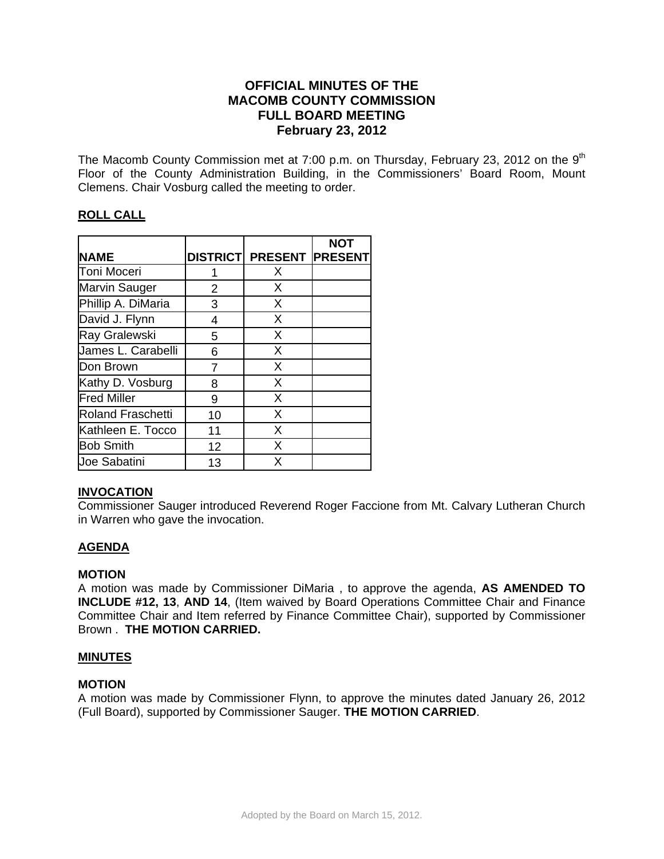# **OFFICIAL MINUTES OF THE MACOMB COUNTY COMMISSION FULL BOARD MEETING February 23, 2012**

The Macomb County Commission met at 7:00 p.m. on Thursday, February 23, 2012 on the  $9<sup>th</sup>$ Floor of the County Administration Building, in the Commissioners' Board Room, Mount Clemens. Chair Vosburg called the meeting to order.

# **ROLL CALL**

|                          |                |                                 | <b>NOT</b> |
|--------------------------|----------------|---------------------------------|------------|
| <b>NAME</b>              |                | <b>DISTRICT PRESENT PRESENT</b> |            |
| Toni Moceri              |                | X                               |            |
| Marvin Sauger            | 2              | X                               |            |
| Phillip A. DiMaria       | 3              | X                               |            |
| David J. Flynn           | $\overline{4}$ | X                               |            |
| Ray Gralewski            | 5              | X                               |            |
| James L. Carabelli       | 6              | X                               |            |
| Don Brown                | 7              | X                               |            |
| Kathy D. Vosburg         | 8              | X                               |            |
| <b>Fred Miller</b>       | 9              | X                               |            |
| <b>Roland Fraschetti</b> | 10             | X                               |            |
| Kathleen E. Tocco        | 11             | X                               |            |
| <b>Bob Smith</b>         | 12             | $\times$                        |            |
| <b>Joe Sabatini</b>      | 13             | X                               |            |

# **INVOCATION**

Commissioner Sauger introduced Reverend Roger Faccione from Mt. Calvary Lutheran Church in Warren who gave the invocation.

# **AGENDA**

## **MOTION**

A motion was made by Commissioner DiMaria , to approve the agenda, **AS AMENDED TO INCLUDE #12, 13**, **AND 14**, (Item waived by Board Operations Committee Chair and Finance Committee Chair and Item referred by Finance Committee Chair), supported by Commissioner Brown . **THE MOTION CARRIED.** 

## **MINUTES**

## **MOTION**

A motion was made by Commissioner Flynn, to approve the minutes dated January 26, 2012 (Full Board), supported by Commissioner Sauger. **THE MOTION CARRIED**.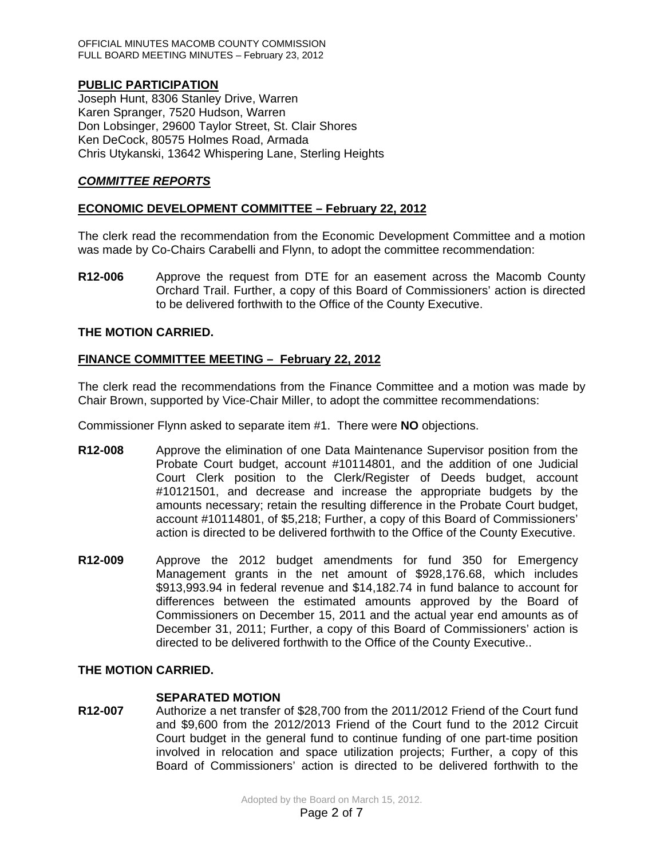OFFICIAL MINUTES MACOMB COUNTY COMMISSION FULL BOARD MEETING MINUTES – February 23, 2012

# **PUBLIC PARTICIPATION**

Joseph Hunt, 8306 Stanley Drive, Warren Karen Spranger, 7520 Hudson, Warren Don Lobsinger, 29600 Taylor Street, St. Clair Shores Ken DeCock, 80575 Holmes Road, Armada Chris Utykanski, 13642 Whispering Lane, Sterling Heights

# *COMMITTEE REPORTS*

# **ECONOMIC DEVELOPMENT COMMITTEE – February 22, 2012**

The clerk read the recommendation from the Economic Development Committee and a motion was made by Co-Chairs Carabelli and Flynn, to adopt the committee recommendation:

**R12-006** Approve the request from DTE for an easement across the Macomb County Orchard Trail. Further, a copy of this Board of Commissioners' action is directed to be delivered forthwith to the Office of the County Executive.

## **THE MOTION CARRIED.**

## **FINANCE COMMITTEE MEETING – February 22, 2012**

The clerk read the recommendations from the Finance Committee and a motion was made by Chair Brown, supported by Vice-Chair Miller, to adopt the committee recommendations:

Commissioner Flynn asked to separate item #1. There were **NO** objections.

- **R12-008** Approve the elimination of one Data Maintenance Supervisor position from the Probate Court budget, account #10114801, and the addition of one Judicial Court Clerk position to the Clerk/Register of Deeds budget, account #10121501, and decrease and increase the appropriate budgets by the amounts necessary; retain the resulting difference in the Probate Court budget, account #10114801, of \$5,218; Further, a copy of this Board of Commissioners' action is directed to be delivered forthwith to the Office of the County Executive.
- **R12-009** Approve the 2012 budget amendments for fund 350 for Emergency Management grants in the net amount of \$928,176.68, which includes \$913,993.94 in federal revenue and \$14,182.74 in fund balance to account for differences between the estimated amounts approved by the Board of Commissioners on December 15, 2011 and the actual year end amounts as of December 31, 2011; Further, a copy of this Board of Commissioners' action is directed to be delivered forthwith to the Office of the County Executive..

# **THE MOTION CARRIED.**

#### **SEPARATED MOTION**

**R12-007** Authorize a net transfer of \$28,700 from the 2011/2012 Friend of the Court fund and \$9,600 from the 2012/2013 Friend of the Court fund to the 2012 Circuit Court budget in the general fund to continue funding of one part-time position involved in relocation and space utilization projects; Further, a copy of this Board of Commissioners' action is directed to be delivered forthwith to the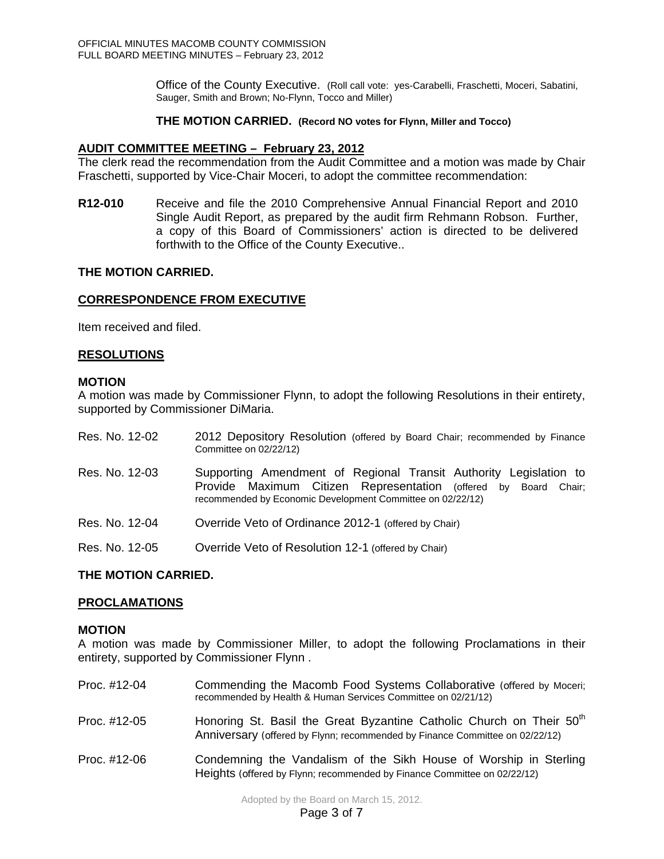Office of the County Executive. (Roll call vote: yes-Carabelli, Fraschetti, Moceri, Sabatini, Sauger, Smith and Brown; No-Flynn, Tocco and Miller)

## **THE MOTION CARRIED. (Record NO votes for Flynn, Miller and Tocco)**

## **AUDIT COMMITTEE MEETING – February 23, 2012**

The clerk read the recommendation from the Audit Committee and a motion was made by Chair Fraschetti, supported by Vice-Chair Moceri, to adopt the committee recommendation:

**R12-010** Receive and file the 2010 Comprehensive Annual Financial Report and 2010 Single Audit Report, as prepared by the audit firm Rehmann Robson. Further, a copy of this Board of Commissioners' action is directed to be delivered forthwith to the Office of the County Executive..

## **THE MOTION CARRIED.**

## **CORRESPONDENCE FROM EXECUTIVE**

Item received and filed.

## **RESOLUTIONS**

### **MOTION**

A motion was made by Commissioner Flynn, to adopt the following Resolutions in their entirety, supported by Commissioner DiMaria.

| Res. No. 12-02 | 2012 Depository Resolution (offered by Board Chair; recommended by Finance<br>Committee on 02/22/12)                                                                                               |
|----------------|----------------------------------------------------------------------------------------------------------------------------------------------------------------------------------------------------|
| Res. No. 12-03 | Supporting Amendment of Regional Transit Authority Legislation to<br>Provide Maximum Citizen Representation (offered by Board Chair;<br>recommended by Economic Development Committee on 02/22/12) |
| Res. No. 12-04 | Override Veto of Ordinance 2012-1 (offered by Chair)                                                                                                                                               |
| Res. No. 12-05 | Override Veto of Resolution 12-1 (offered by Chair)                                                                                                                                                |

## **THE MOTION CARRIED.**

## **PROCLAMATIONS**

#### **MOTION**

A motion was made by Commissioner Miller, to adopt the following Proclamations in their entirety, supported by Commissioner Flynn .

| Proc. #12-04 | Commending the Macomb Food Systems Collaborative (offered by Moceri;<br>recommended by Health & Human Services Committee on 02/21/12)                            |
|--------------|------------------------------------------------------------------------------------------------------------------------------------------------------------------|
| Proc. #12-05 | Honoring St. Basil the Great Byzantine Catholic Church on Their 50 <sup>th</sup><br>Anniversary (offered by Flynn; recommended by Finance Committee on 02/22/12) |
| Proc. #12-06 | Condemning the Vandalism of the Sikh House of Worship in Sterling<br>Heights (offered by Flynn; recommended by Finance Committee on 02/22/12)                    |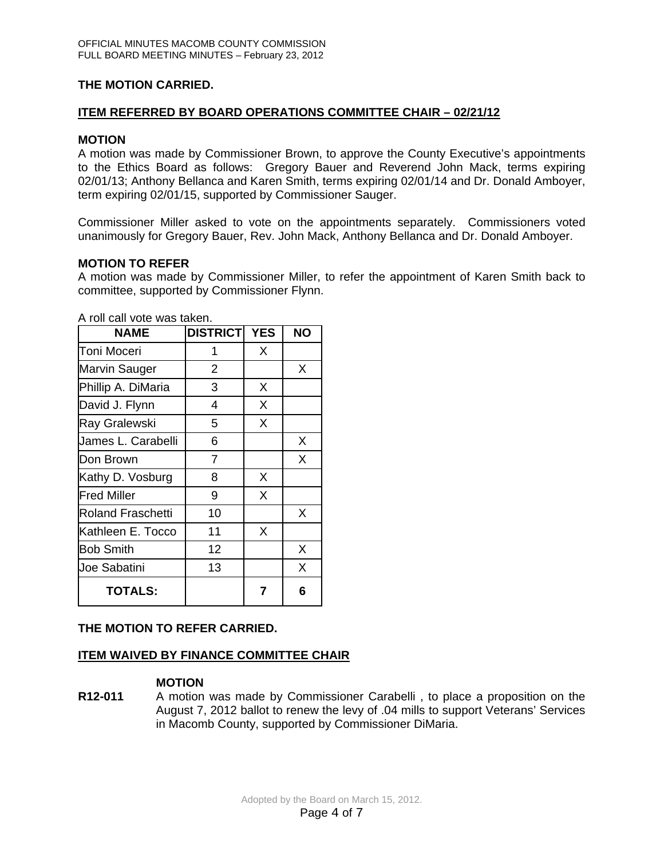# **THE MOTION CARRIED.**

# **ITEM REFERRED BY BOARD OPERATIONS COMMITTEE CHAIR – 02/21/12**

# **MOTION**

A motion was made by Commissioner Brown, to approve the County Executive's appointments to the Ethics Board as follows: Gregory Bauer and Reverend John Mack, terms expiring 02/01/13; Anthony Bellanca and Karen Smith, terms expiring 02/01/14 and Dr. Donald Amboyer, term expiring 02/01/15, supported by Commissioner Sauger.

Commissioner Miller asked to vote on the appointments separately. Commissioners voted unanimously for Gregory Bauer, Rev. John Mack, Anthony Bellanca and Dr. Donald Amboyer.

# **MOTION TO REFER**

A motion was made by Commissioner Miller, to refer the appointment of Karen Smith back to committee, supported by Commissioner Flynn.

| <b>NAME</b>              | <b>DISTRICT</b> | <b>YES</b> | <b>NO</b> |
|--------------------------|-----------------|------------|-----------|
| Toni Moceri              | 1               | X          |           |
| Marvin Sauger            | 2               |            | X         |
| Phillip A. DiMaria       | 3               | X          |           |
| David J. Flynn           | 4               | X          |           |
| <b>Ray Gralewski</b>     | 5               | X          |           |
| James L. Carabelli       | 6               |            | X         |
| Don Brown                | 7               |            | X         |
| Kathy D. Vosburg         | 8               | X          |           |
| <b>Fred Miller</b>       | 9               | X          |           |
| <b>Roland Fraschetti</b> | 10              |            | X         |
| Kathleen E. Tocco        | 11              | X          |           |
| <b>Bob Smith</b>         | 12              |            | X         |
| <b>Joe Sabatini</b>      | 13              |            | Χ         |
| <b>TOTALS:</b>           |                 | 7          | 6         |

A roll call vote was taken.

# **THE MOTION TO REFER CARRIED.**

# **ITEM WAIVED BY FINANCE COMMITTEE CHAIR**

## **MOTION**

**R12-011** A motion was made by Commissioner Carabelli , to place a proposition on the August 7, 2012 ballot to renew the levy of .04 mills to support Veterans' Services in Macomb County, supported by Commissioner DiMaria.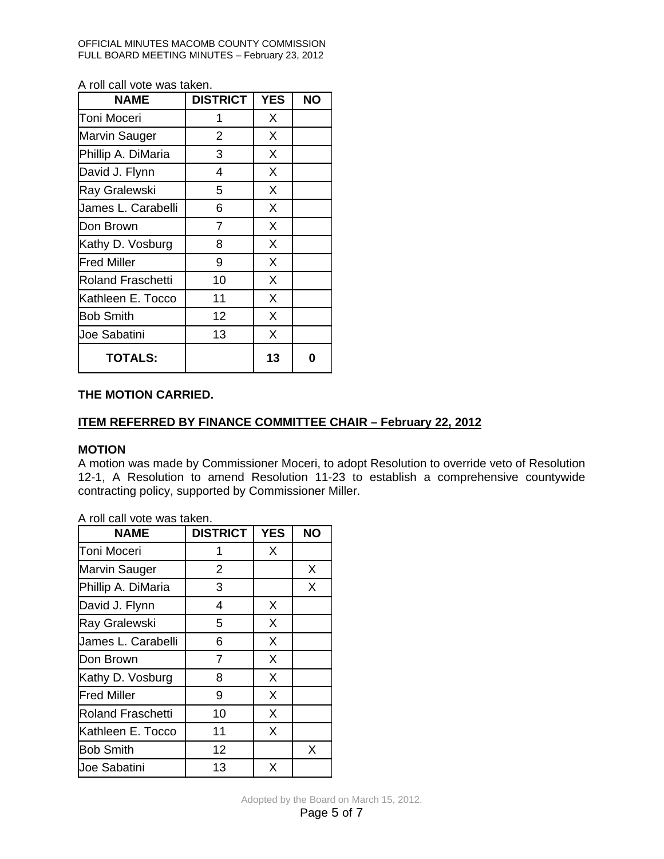OFFICIAL MINUTES MACOMB COUNTY COMMISSION FULL BOARD MEETING MINUTES – February 23, 2012

A roll call vote was taken.

| <b>NAME</b>              | <b>DISTRICT</b> | <b>YES</b> | <b>NO</b> |
|--------------------------|-----------------|------------|-----------|
| Toni Moceri              | 1               | X          |           |
| Marvin Sauger            | $\overline{2}$  | X          |           |
| Phillip A. DiMaria       | 3               | X          |           |
| David J. Flynn           | 4               | X          |           |
| <b>Ray Gralewski</b>     | 5               | X          |           |
| James L. Carabelli       | 6               | X          |           |
| Don Brown                | 7               | X          |           |
| Kathy D. Vosburg         | 8               | X          |           |
| <b>Fred Miller</b>       | 9               | X          |           |
| <b>Roland Fraschetti</b> | 10              | X          |           |
| Kathleen E. Tocco        | 11              | X          |           |
| <b>Bob Smith</b>         | 12              | X          |           |
| Joe Sabatini             | 13              | X          |           |
| <b>TOTALS:</b>           |                 | 13         | ŋ         |

# **THE MOTION CARRIED.**

# **ITEM REFERRED BY FINANCE COMMITTEE CHAIR – February 22, 2012**

# **MOTION**

A motion was made by Commissioner Moceri, to adopt Resolution to override veto of Resolution 12-1, A Resolution to amend Resolution 11-23 to establish a comprehensive countywide contracting policy, supported by Commissioner Miller.

| <b>NAME</b>              | <b>DISTRICT</b> | <b>YES</b> | <b>NO</b> |
|--------------------------|-----------------|------------|-----------|
| Toni Moceri              | 1               | X          |           |
| Marvin Sauger            | $\overline{2}$  |            | X         |
| Phillip A. DiMaria       | 3               |            | X         |
| David J. Flynn           | 4               | X          |           |
| Ray Gralewski            | 5               | X          |           |
| James L. Carabelli       | 6               | X          |           |
| Don Brown                | 7               | X          |           |
| Kathy D. Vosburg         | 8               | X          |           |
| <b>Fred Miller</b>       | 9               | X          |           |
| <b>Roland Fraschetti</b> | 10              | X          |           |
| Kathleen E. Tocco        | 11              | X          |           |
| <b>Bob Smith</b>         | 12              |            | Χ         |
| Joe Sabatini             | 13              | X          |           |

A roll call vote was taken.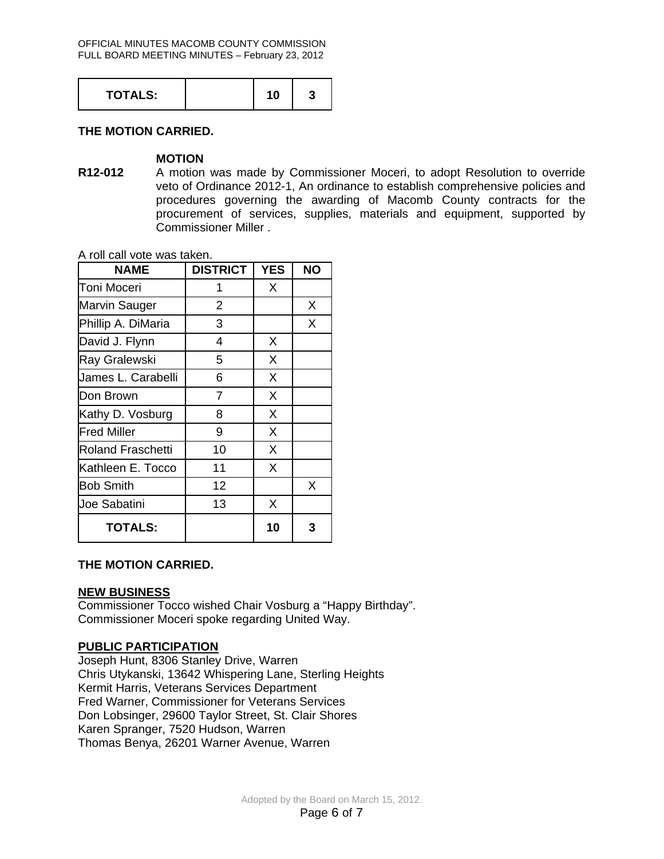| <b>TOTALS:</b> |  |  | ື |  |
|----------------|--|--|---|--|
|----------------|--|--|---|--|

# **THE MOTION CARRIED.**

## **MOTION**

**R12-012** A motion was made by Commissioner Moceri, to adopt Resolution to override veto of Ordinance 2012-1, An ordinance to establish comprehensive policies and procedures governing the awarding of Macomb County contracts for the procurement of services, supplies, materials and equipment, supported by Commissioner Miller .

A roll call vote was taken.

| <b>NAME</b>              | <b>DISTRICT</b> | <b>YES</b> | <b>NO</b> |
|--------------------------|-----------------|------------|-----------|
| Toni Moceri              | 1               | X          |           |
| Marvin Sauger            | $\overline{2}$  |            | X         |
| Phillip A. DiMaria       | 3               |            | X         |
| David J. Flynn           | 4               | X          |           |
| <b>Ray Gralewski</b>     | 5               | X          |           |
| James L. Carabelli       | 6               | X          |           |
| Don Brown                | 7               | X          |           |
| Kathy D. Vosburg         | 8               | X          |           |
| <b>Fred Miller</b>       | 9               | X          |           |
| <b>Roland Fraschetti</b> | 10              | X          |           |
| Kathleen E. Tocco        | 11              | X          |           |
| <b>Bob Smith</b>         | 12              |            | X         |
| <b>Joe Sabatini</b>      | 13              | X          |           |
| <b>TOTALS:</b>           |                 | 10         | 3         |

## **THE MOTION CARRIED.**

## **NEW BUSINESS**

Commissioner Tocco wished Chair Vosburg a "Happy Birthday". Commissioner Moceri spoke regarding United Way.

# **PUBLIC PARTICIPATION**

Joseph Hunt, 8306 Stanley Drive, Warren Chris Utykanski, 13642 Whispering Lane, Sterling Heights Kermit Harris, Veterans Services Department Fred Warner, Commissioner for Veterans Services Don Lobsinger, 29600 Taylor Street, St. Clair Shores Karen Spranger, 7520 Hudson, Warren Thomas Benya, 26201 Warner Avenue, Warren